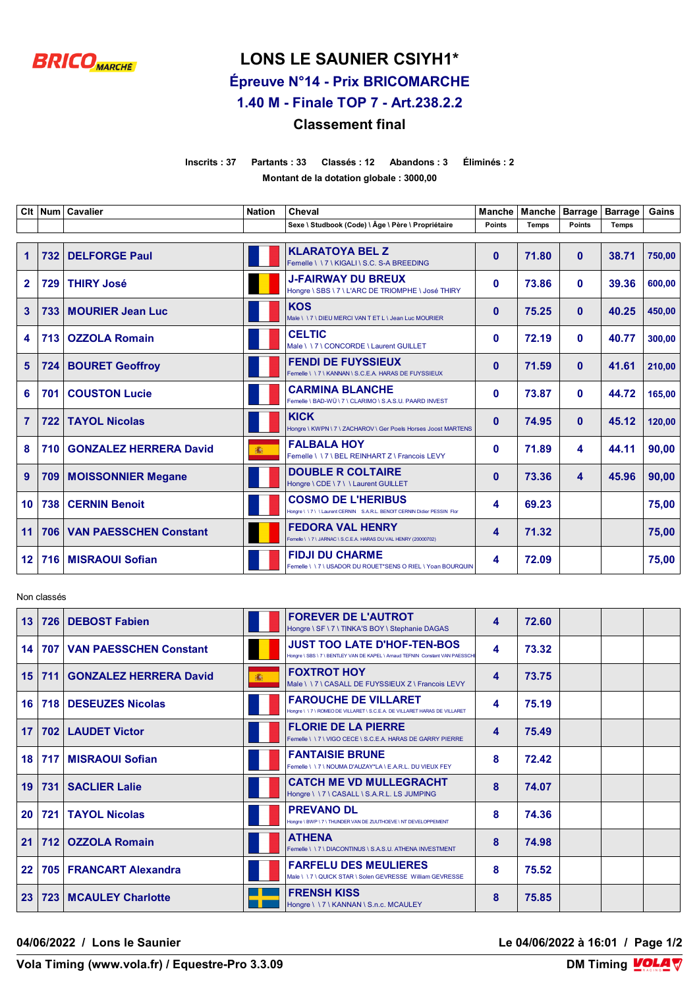

## **LONS LE SAUNIER CSIYH1\***

**Épreuve N°14 - Prix BRICOMARCHE**

**1.40 M - Finale TOP 7 - Art.238.2.2**

## **Classement final**

**Inscrits : 37 Partants : 33 Classés : 12 Abandons : 3 Éliminés : 2 Montant de la dotation globale : 3000,00**

|                         |     | Clt   Num   Cavalier          | <b>Nation</b> | Cheval                                                                                            | <b>Manche</b> | Manche       | <b>Barrage</b> | <b>Barrage</b> | Gains  |
|-------------------------|-----|-------------------------------|---------------|---------------------------------------------------------------------------------------------------|---------------|--------------|----------------|----------------|--------|
|                         |     |                               |               | Sexe \ Studbook (Code) \ Âge \ Père \ Propriétaire                                                | <b>Points</b> | <b>Temps</b> | <b>Points</b>  | <b>Temps</b>   |        |
| $\blacktriangleleft$    | 732 | <b>DELFORGE Paul</b>          |               | <b>KLARATOYA BEL Z</b><br>Femelle \\7\KIGALI\S.C. S-A BREEDING                                    | $\bf{0}$      | 71.80        | $\mathbf{0}$   | 38.71          | 750,00 |
| $\mathbf{2}$            | 729 | <b>THIRY José</b>             |               | <b>J-FAIRWAY DU BREUX</b><br>Hongre \ SBS \ 7 \ L'ARC DE TRIOMPHE \ José THIRY                    | $\mathbf{0}$  | 73.86        | $\mathbf{0}$   | 39.36          | 600,00 |
| $\overline{\mathbf{3}}$ | 733 | <b>MOURIER Jean Luc</b>       |               | <b>KOS</b><br>Male \\7\DIEU MERCI VAN T ET L \ Jean Luc MOURIER                                   | $\mathbf{0}$  | 75.25        | $\mathbf{0}$   | 40.25          | 450,00 |
| 4                       | 713 | <b>OZZOLA Romain</b>          |               | <b>CELTIC</b><br>Male \\7\CONCORDE\Laurent GUILLET                                                | $\mathbf{0}$  | 72.19        | $\mathbf{0}$   | 40.77          | 300.00 |
| 5                       | 724 | <b>BOURET Geoffroy</b>        |               | <b>FENDI DE FUYSSIEUX</b><br>Femelle \\7\KANNAN\S.C.E.A. HARAS DE FUYSSIEUX                       | $\bf{0}$      | 71.59        | $\mathbf{0}$   | 41.61          | 210,00 |
| 6                       | 701 | <b>COUSTON Lucie</b>          |               | <b>CARMINA BLANCHE</b><br>Femelle \ BAD-WÜ\7\CLARIMO\S.A.S.U. PAARD INVEST                        | $\mathbf{0}$  | 73.87        | $\mathbf{0}$   | 44.72          | 165,00 |
| $\overline{7}$          | 722 | <b>TAYOL Nicolas</b>          |               | <b>KICK</b><br>Hongre \ KWPN \ 7 \ ZACHAROV \ Ger Poels Horses Joost MARTENS                      | $\mathbf{0}$  | 74.95        | $\mathbf{0}$   | 45.12          | 120,00 |
| 8                       | 710 | <b>GONZALEZ HERRERA David</b> | 1             | <b>FALBALA HOY</b><br>Femelle \\7\BEL REINHART Z\Francois LEVY                                    | $\mathbf{0}$  | 71.89        | 4              | 44.11          | 90,00  |
| 9                       | 709 | <b>MOISSONNIER Megane</b>     |               | <b>DOUBLE R COLTAIRE</b><br>Hongre \ CDE \ 7 \ \ Laurent GUILLET                                  | $\bf{0}$      | 73.36        | 4              | 45.96          | 90,00  |
| 10                      | 738 | <b>CERNIN Benoit</b>          |               | <b>COSMO DE L'HERIBUS</b><br>Hongre \\7\\Laurent CERNIN S.A.R.L. BENOIT CERNIN Didier PESSIN Flor | 4             | 69.23        |                |                | 75,00  |
| 11                      | 706 | <b>VAN PAESSCHEN Constant</b> |               | <b>FEDORA VAL HENRY</b><br>Femelle \\7\JARNAC\S.C.E.A. HARAS DU VAL HENRY (20000702)              | 4             | 71.32        |                |                | 75,00  |
| $12 \,$                 | 716 | <b>MISRAOUI Sofian</b>        |               | <b>FIDJI DU CHARME</b><br>Femelle \ \ 7 \ USADOR DU ROUET*SENS O RIEL \ Yoan BOURQUIN             | 4             | 72.09        |                |                | 75,00  |

Non classés

| 13              | 726   | <b>DEBOST Fabien</b>          |   | <b>FOREVER DE L'AUTROT</b><br>Hongre \ SF \ 7 \ TINKA'S BOY \ Stephanie DAGAS                                       | 4 | 72.60 |  |  |
|-----------------|-------|-------------------------------|---|---------------------------------------------------------------------------------------------------------------------|---|-------|--|--|
| 14 <sup>1</sup> | 707   | <b>VAN PAESSCHEN Constant</b> |   | <b>JUST TOO LATE D'HOF-TEN-BOS</b><br>Hongre \ SBS \ 7 \ BENTLEY VAN DE KAPEL \ Arnaud TEFNIN Constant VAN PAESSCHI | 4 | 73.32 |  |  |
| 15              | 711   | <b>GONZALEZ HERRERA David</b> | 灩 | <b>FOXTROT HOY</b><br>Male \\7\CASALL DE FUYSSIEUX Z\Francois LEVY                                                  | 4 | 73.75 |  |  |
| 16              | 718   | <b>DESEUZES Nicolas</b>       |   | <b>FAROUCHE DE VILLARET</b><br>Hongre \ \ 7 \ ROMEO DE VILLARET \ S.C.E.A. DE VILLARET HARAS DE VILLARET            | 4 | 75.19 |  |  |
| 17              |       | 702   LAUDET Victor           |   | <b>FLORIE DE LA PIERRE</b><br>Femelle \\7\VIGO CECE \S.C.E.A. HARAS DE GARRY PIERRE                                 | 4 | 75.49 |  |  |
| 18              | 717   | <b>MISRAOUI Sofian</b>        |   | <b>FANTAISIE BRUNE</b><br>Femelle \\7\NOUMA D'AUZAY*LA\E.A.R.L. DU VIEUX FEY                                        | 8 | 72.42 |  |  |
| 19              | 731   | <b>SACLIER Lalie</b>          |   | <b>CATCH ME VD MULLEGRACHT</b><br>Hongre \\7\CASALL\S.A.R.L. LS JUMPING                                             | 8 | 74.07 |  |  |
| 20              | 721 l | <b>TAYOL Nicolas</b>          |   | <b>PREVANO DL</b><br>Hongre \ BWP \ 7 \ THUNDER VAN DE ZUUTHOEVE \ NT DEVELOPPEMENT                                 | 8 | 74.36 |  |  |
| 21              | 712   | <b>OZZOLA Romain</b>          |   | <b>ATHENA</b><br>Femelle \\7\DIACONTINUS\S.A.S.U. ATHENA INVESTMENT                                                 | 8 | 74.98 |  |  |
| 22              | 705   | <b>FRANCART Alexandra</b>     |   | <b>FARFELU DES MEULIERES</b><br>Male \ \ 7 \ QUICK STAR \ Solen GEVRESSE William GEVRESSE                           | 8 | 75.52 |  |  |
| 23              |       | 723   MCAULEY Charlotte       |   | <b>FRENSH KISS</b><br>Hongre \\7\KANNAN\S.n.c. MCAULEY                                                              | 8 | 75.85 |  |  |

**04/06/2022 / Lons le Saunier Le 04/06/2022 à 16:01 / Page 1/2**

**Vola Timing (www.vola.fr) / Equestre-Pro 3.3.09** 

**DM Timing VOLA V**